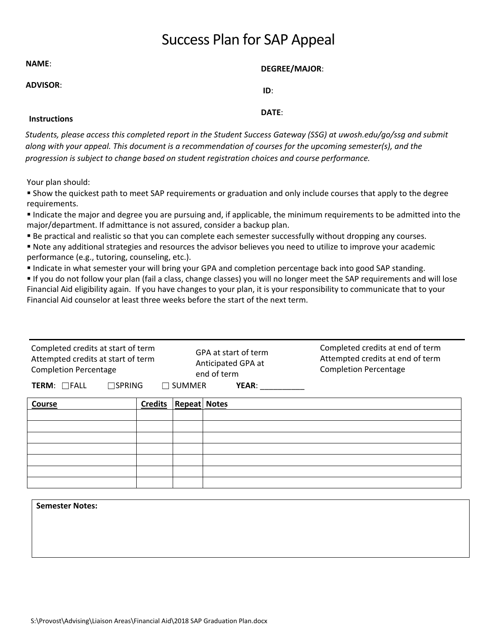## Success Plan for SAP Appeal

| <b>NAME:</b>    | DEGREE/MAJOR: |
|-----------------|---------------|
| <b>ADVISOR:</b> | ID:           |
|                 | DATE:         |

## **Instructions**

*Students, please access this completed report in the Student Success Gateway (SSG) at uwosh.edu/go/ssg and submit along with your appeal. This document is a recommendation of courses for the upcoming semester(s), and the progression is subject to change based on student registration choices and course performance.*

Your plan should:

 Show the quickest path to meet SAP requirements or graduation and only include courses that apply to the degree requirements.

 Indicate the major and degree you are pursuing and, if applicable, the minimum requirements to be admitted into the major/department. If admittance is not assured, consider a backup plan.

Be practical and realistic so that you can complete each semester successfully without dropping any courses.

 Note any additional strategies and resources the advisor believes you need to utilize to improve your academic performance (e.g., tutoring, counseling, etc.).

Indicate in what semester your will bring your GPA and completion percentage back into good SAP standing.

 If you do not follow your plan (fail a class, change classes) you will no longer meet the SAP requirements and will lose Financial Aid eligibility again. If you have changes to your plan, it is your responsibility to communicate that to your Financial Aid counselor at least three weeks before the start of the next term.

| Completed credits at start of term<br>Attempted credits at start of term<br><b>Completion Percentage</b><br>TERM: FALL<br>$\Box$ SPRING |                | $\Box$ summer       | GPA at start of term<br>Anticipated GPA at<br>end of term<br><b>YEAR:</b> | Completed credits at end of term<br>Attempted credits at end of term<br><b>Completion Percentage</b> |
|-----------------------------------------------------------------------------------------------------------------------------------------|----------------|---------------------|---------------------------------------------------------------------------|------------------------------------------------------------------------------------------------------|
| Course                                                                                                                                  | <b>Credits</b> | <b>Repeat Notes</b> |                                                                           |                                                                                                      |
|                                                                                                                                         |                |                     |                                                                           |                                                                                                      |
|                                                                                                                                         |                |                     |                                                                           |                                                                                                      |
|                                                                                                                                         |                |                     |                                                                           |                                                                                                      |
|                                                                                                                                         |                |                     |                                                                           |                                                                                                      |
|                                                                                                                                         |                |                     |                                                                           |                                                                                                      |
|                                                                                                                                         |                |                     |                                                                           |                                                                                                      |
|                                                                                                                                         |                |                     |                                                                           |                                                                                                      |

| <b>Semester Notes:</b> |  |
|------------------------|--|
|------------------------|--|